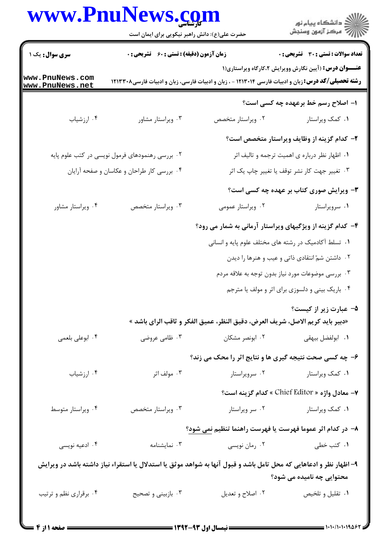## www.PnuNews.com

ے<br>کا اللہ کا دانشگاہ پیام نور<br>کا اللہ کر کو آزمون وسنجش

|                                    | حضرت علی(ع): دانش راهبر نیکویی برای ایمان است                                                                      |                                                                               |                                                               |
|------------------------------------|--------------------------------------------------------------------------------------------------------------------|-------------------------------------------------------------------------------|---------------------------------------------------------------|
| <b>سری سوال :</b> یک ۱             | <b>زمان آزمون (دقیقه) : تستی : 60 ٪ تشریحی : 0</b>                                                                 |                                                                               | <b>نعداد سوالات : تستی : 30 ٪ تشریحی : 0</b>                  |
| www.PnuNews.com<br>www.PnuNews.net | <b>رشته تحصیلی/کد درس:</b> زبان و ادبیات فارسی ۱۲۱۳۰۱۴ - ، زبان و ادبیات فارسی، زبان و ادبیات فارسی۱۲۱۳۳۰۸         |                                                                               | <b>عنـــوان درس:</b> (آیین نگارش وویرایش ۲،کارگاه ویراستاری(۱ |
|                                    |                                                                                                                    |                                                                               | ۱– اصلاح رسم خط برعهده چه کسی است؟                            |
| ۰۴ ارزشیاب                         | ۰۳ ویراستار مشاور                                                                                                  | ۰۲ ویراستار متخصص                                                             | ٠١ كمك ويراستار                                               |
|                                    |                                                                                                                    |                                                                               | ۲- کدام گزینه از وظایف ویراستار متخصص است؟                    |
|                                    | ۰۲ بررسی رهنمودهای فرمول نویسی در کتب علوم پایه                                                                    |                                                                               | ۰۱ اظهار نظر درباره ی اهمیت ترجمه و تالیف اثر                 |
|                                    | ۰۴ بررسی کار طراحان و عکاسان و صفحه آرایان                                                                         |                                                                               | ۰۳ تغییر جهت کار نشر توقف یا تغییر چاپ یک اثر                 |
|                                    |                                                                                                                    |                                                                               | <b>۳</b> - ویرایش صوری کتاب بر عهده چه کسی است؟               |
| ۰۴ ویراستار مشاور                  | ۰۳ ویراستار متخصص                                                                                                  | ۰۲ ویراستار عمومی                                                             | ٠١ سرويراستار                                                 |
|                                    |                                                                                                                    | ۴- کدام گزینه از ویژگیهای ویراستار آرمانی به شمار می رود؟                     |                                                               |
|                                    |                                                                                                                    | ۰۱ تسلط آکادمیک در رشته های مختلف علوم پایه و انسانی                          |                                                               |
|                                    |                                                                                                                    |                                                                               | ۰۲ داشتن شمّ انتقادی ذاتی و عیب و هنرها را دیدن               |
|                                    |                                                                                                                    | ۰۳ بررسی موضوعات مورد نیاز بدون توجه به علاقه مردم                            |                                                               |
|                                    |                                                                                                                    |                                                                               | ۰۴ باریک بینی و دلسوزی برای اثر و مولف یا مترجم               |
|                                    |                                                                                                                    |                                                                               | ۵– عبارت زیر از کیست؟                                         |
|                                    |                                                                                                                    | «دبير بايد كريم الاصل، شريف العرض، دقيق النظر، عميق الفكر و ثاقب الراي باشد » |                                                               |
| ۰۴ ابوعلی بلعمی                    | ۰۳ ظامی عروضی                                                                                                      | ۰۲ ابونصر مشکان                                                               | <b>۱.</b> ابولفضل بيهقى                                       |
|                                    |                                                                                                                    | ۶- چه کسی صحت نتیجه گیری ها و نتایج اثر را محک می زند؟                        |                                                               |
| ۰۴ ارزشیاب                         | ۰۳ مولف اثر                                                                                                        | ۰۲ سرویراستار                                                                 | ۰۱ کمک ویراستار                                               |
|                                    |                                                                                                                    |                                                                               | ٧− معادل واژه « Chief Editor » كدام گزينه است؟                |
| ۰۴ ویراستار متوسط                  | ۰۳ ویراستار متخصص                                                                                                  |                                                                               | ۰۱ کمک ویراستار مستار استار                                   |
|                                    |                                                                                                                    | ۸– در کدام اثر عموما فهرست یا فهرست راهنما تنظیم نمی شود؟                     |                                                               |
| ۰۴ ادعیه نویسی                     | ۰۳ نمایشنامه                                                                                                       | ۰۲ رمان نویسی                                                                 | ۰۱ کتب خطی                                                    |
|                                    | ۹– اظهار نظر و ادعاهایی که محل تامل باشد و قبول آنها به شواهد موثق یا استدلال یا استقراء نیاز داشته باشد در ویرایش |                                                                               | محتوایی چه نامیده می شود؟                                     |
| ۰۴ برقراری نظم و ترتیب             | ۰۳ بازبینی و تصحیح                                                                                                 | ۰۲ اصلاح و تعديل                                                              | ۰۱ تقلیل و تلخیص                                              |
|                                    |                                                                                                                    |                                                                               |                                                               |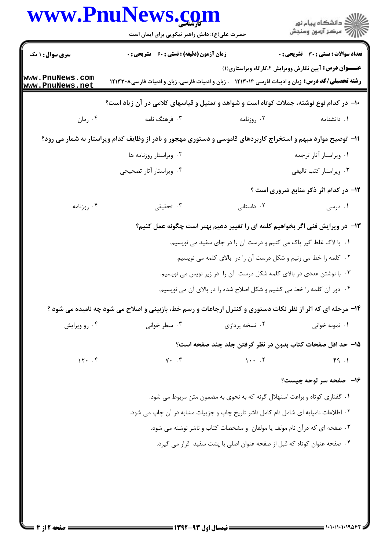|                                    | حضرت علی(ع): دانش راهبر نیکویی برای ایمان است                                                                |                                                                                     | ر<br>دانشڪاه پيام نور)<br>اڳ مرڪز آزمون وسنڊش                 |
|------------------------------------|--------------------------------------------------------------------------------------------------------------|-------------------------------------------------------------------------------------|---------------------------------------------------------------|
| <b>سری سوال : ۱ یک</b>             | <b>زمان آزمون (دقیقه) : تستی : 60 ٪ تشریحی : 0</b>                                                           |                                                                                     | <b>تعداد سوالات : تستی : 30 ٪ تشریحی : 0</b>                  |
| www.PnuNews.com<br>www.PnuNews.net | <b>رشته تحصیلی/کد درس:</b> زبان و ادبیات فارسی ۱۲۱۳۰۱۴ - ، زبان و ادبیات فارسی، زبان و ادبیات فارسی۱۲۱۳۲۰۸   |                                                                                     | <b>عنـــوان درس:</b> آیین نگارش وویرایش ۲،کارگاه ویراستاری(۱) |
|                                    | ∙۱- در کدام نوع نوشته، جملات کوتاه است و شواهد و تمثیل و قیاسهای کلامی در آن زیاد است؟                       |                                                                                     |                                                               |
| ۰۴ رمان                            | ۰۳ فرهنگ نامه                                                                                                | ۰۲ روزنامه                                                                          | ٠١. دانشنامه                                                  |
|                                    | 11- توضیح موارد مبهم و استخراج کاربردهای قاموسی و دستوری مهجور و نادر از وظایف کدام ویراستار به شمار می رود؟ |                                                                                     |                                                               |
|                                    | ۰۲ ویراستار روزنامه ها                                                                                       |                                                                                     | ۰۱ ویراستار آثار ترجمه                                        |
|                                    | ۰۴ ویراستار آثار تصحیحی                                                                                      |                                                                                     | ۰۳ ویراستار کتب تالیفی                                        |
|                                    |                                                                                                              |                                                                                     | <b>۱۲- در کدام اثر ذکر منابع ضروری است</b> ؟                  |
| ۰۴ روزنامه                         | ۰۳ تحقیقی                                                                                                    | ۰۲ داستانی                                                                          | ۰۱ درسی                                                       |
|                                    | ۱۳– در ویرایش فنی اگر بخواهیم کلمه ای را تغییر دهیم بهتر است چگونه عمل کنیم؟                                 |                                                                                     |                                                               |
|                                    | ١. با لاک غلط گیر پاک می کنیم و درست آن را در جای سفید می نویسیم.                                            |                                                                                     |                                                               |
|                                    | ۲. کلمه را خط می زنیم و شکل درست آن را در بالای کلمه می نویسیم.                                              |                                                                                     |                                                               |
|                                    |                                                                                                              | ۰۳ با نوشتن عددی در بالای کلمه شکل درست آن را در زیر نویس می نویسیم.                |                                                               |
|                                    |                                                                                                              | ۰۴ دور آن کلمه را خط می کشیم و شکل اصلاح شده را در بالای آن می نویسیم.              |                                                               |
|                                    | ۱۴- مرحله ای که اثر از نظر نکات دستوری و کنترل ارجاعات و رسم خط، بازبینی و اصلاح می شود چه نامیده می شود ؟   |                                                                                     |                                                               |
| ۰۴ رو ویرایش                       | ۰۳ سطر خوانی                                                                                                 | ۰۲ نسخه پردازی                                                                      | ۰۱ نمونه خوانی                                                |
|                                    |                                                                                                              | ۱۵– حد اقل صفحات کتاب بدون در نظر گرفتن جلد چند صفحه است؟                           |                                                               |
| 15.7                               | $Y \cdot \cdot \cdot$                                                                                        | $1 \cdot \cdot \cdot \cdot$                                                         | 49.1                                                          |
|                                    |                                                                                                              |                                                                                     | ۱۶-۔ صفحه سر لوحه چیست؟                                       |
|                                    |                                                                                                              | ۰۱ گفتاری کوتاه و براعت استهلال گونه که به نحوی به مضمون متن مربوط می شود.          |                                                               |
|                                    |                                                                                                              | ۲. اطلاعات نامپایه ای شامل نام کامل ناشر تاریخ چاپ و جزییات مشابه در آن چاپ می شود. |                                                               |
|                                    |                                                                                                              | ۰۳ صفحه ای که درآن نام مولف یا مولفان و مشخصات کتاب و ناشر نوشته می شود.            |                                                               |
|                                    |                                                                                                              | ۰۴ صفحه عنوان كوتاه كه قبل از صفحه عنوان اصلى با پشت سفيد قرار مى گيرد.             |                                                               |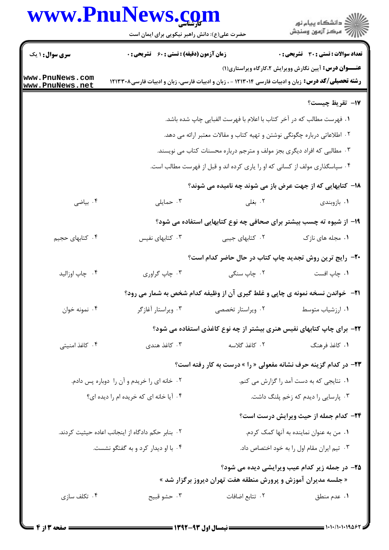## www.PnuNews.com

|                                                   | www.PnuNews.com<br>حضرت علی(ع): دانش راهبر نیکویی برای ایمان است                                           |                                                                                      | ڪ دانشڪاه پيام نور<br><mark>ر</mark> ⊽ مرڪز آزمون وسنڊش       |
|---------------------------------------------------|------------------------------------------------------------------------------------------------------------|--------------------------------------------------------------------------------------|---------------------------------------------------------------|
| <b>سری سوال : ۱ یک</b>                            | <b>زمان آزمون (دقیقه) : تستی : 60 ٪ تشریحی : 0</b>                                                         |                                                                                      | تعداد سوالات : تستي : 30 ٪ تشريحي : 0                         |
| www.PnuNews.com<br>www.PnuNews.net                | <b>رشته تحصیلی/کد درس:</b> زبان و ادبیات فارسی ۱۲۱۳۰۱۴ - ، زبان و ادبیات فارسی، زبان و ادبیات فارسی۱۲۱۳۳۰۸ |                                                                                      | <b>عنـــوان درس:</b> آیین نگارش وویرایش ۲،کارگاه ویراستاری(۱) |
|                                                   |                                                                                                            |                                                                                      | IY− تقريظ چيست؟                                               |
|                                                   |                                                                                                            | <mark>۱</mark> . فهرست مطالب که در آخر کتاب با اعلام با فهرست الفبایی چاپ شده باشد.  |                                                               |
|                                                   | ۲ . اطلاعاتی درباره چگونگی نوشتن و تهیه کتاب و مقالات معتبر ارائه می دهد.                                  |                                                                                      |                                                               |
|                                                   |                                                                                                            | ۰۳ مطالبی که افراد دیگری بجز مولف و مترجم درباره محسنات کتاب می نویسند.              |                                                               |
|                                                   |                                                                                                            | ۰۴ سپاسگذاری مولف از کسانی که او را یاری کرده اند و قبل از فهرست مطالب است.          |                                                               |
|                                                   |                                                                                                            | <b>۱۸</b> - کتابهایی که از جهت عرض باز می شوند چه نامیده می شوند؟                    |                                                               |
| ۰۴ بياضي                                          | ۰۳ حمایلی                                                                                                  | ۰۲ بغلی                                                                              | ۰۱ بازوبندی                                                   |
|                                                   |                                                                                                            | ۱۹- از شیوه ته چسب بیشتر برای صحافی چه نوع کتابهایی استفاده می شود؟                  |                                                               |
| ۰۴ کتابهای حجیم                                   | ۰۳ کتابهای نفیس                                                                                            | ۰۲ کتابهای جیبی                                                                      | ۰۱ مجله های نازک                                              |
|                                                   |                                                                                                            | +۲- رایج ترین روش تجدید چاپ کتاب در حال حاضر کدام است؟                               |                                                               |
| ۰۴ چاپ اوزاليد                                    | ۰۳ چاپ گراوري                                                                                              | ۰۲ چاپ سنگی                                                                          | ۰۱ چاپ افست                                                   |
|                                                   |                                                                                                            | <b>۲۱</b> - خواندن نسخه نمونه ی چاپی و غلط گیری آن از وظیفه کدام شخص به شمار می رود؟ |                                                               |
| ۰۴ نمونه خوان                                     | ۰۳ ویراستار آغازگر                                                                                         | ۰۲ ویراستار تخصصی                                                                    | ۰۱ ارزشیاب متوسط                                              |
|                                                   |                                                                                                            | ۲۲- برای چاپ کتابهای نفیس هنری بیشتر از چه نوع کاغذی استفاده می شود؟                 |                                                               |
| ۰۴ کاغذ امنیتی                                    | ۰۳ کاغذ هندی                                                                                               | ۰۲ کاغذ گلاسه                                                                        | ٠١ كاغذ فرهنگ                                                 |
|                                                   |                                                                                                            |                                                                                      |                                                               |
|                                                   |                                                                                                            | <b>۲۳</b> - در کدام گزینه حرف نشانه مفعولی « را » درست به کار رفته است؟              |                                                               |
| ۰۲ خانه ای را خریدم و آن را دوباره پس دادم.       |                                                                                                            | ۰۱ نتایجی که به دست آمد را گزارش می کنم.<br>۰۳ پارسایی را دیدم که زخم پلنگ داشت.     |                                                               |
|                                                   | ۰۴ آیا خانه ای که خریده ام را دیده ای؟                                                                     |                                                                                      |                                                               |
|                                                   |                                                                                                            |                                                                                      | ۲۴- کدام جمله از حیث ویرایش درست است؟                         |
| ٠٢ بنابر حكم دادگاه از اينجانب اعاده حيثيت كردند. |                                                                                                            | ٠١ من به عنوان نماينده به آنها كمك كردم.                                             |                                                               |
| ۰۴ با او دیدار کرد و به گفتگو نشست.               |                                                                                                            |                                                                                      | ۰۳ تیم ایران مقام اول را به خود اختصاص داد.                   |
|                                                   |                                                                                                            |                                                                                      | ۲۵– در جمله زیر کدام عیب ویرایشی دیده می شود؟                 |
|                                                   |                                                                                                            | « جلسه مدیران آموزش و پرورش منطقه هفت تهران دیروز برگزار شد »                        |                                                               |
| ۰۴ تکلف سازی                                      | ۰۳ حشو قبيح                                                                                                | ٠٢ تتابع اضافات                                                                      | ۰۱ عدم منطق                                                   |